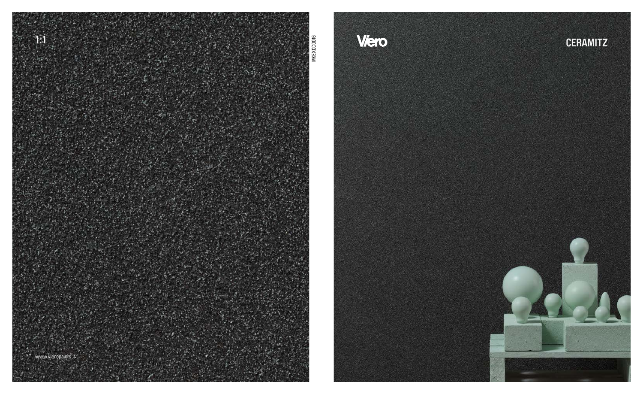

# Viero